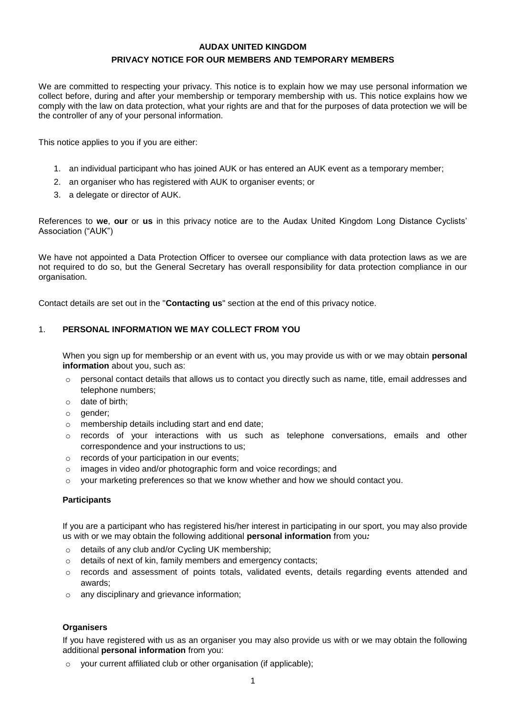# **AUDAX UNITED KINGDOM PRIVACY NOTICE FOR OUR MEMBERS AND TEMPORARY MEMBERS**

We are committed to respecting your privacy. This notice is to explain how we may use personal information we collect before, during and after your membership or temporary membership with us. This notice explains how we comply with the law on data protection, what your rights are and that for the purposes of data protection we will be the controller of any of your personal information.

This notice applies to you if you are either:

- 1. an individual participant who has joined AUK or has entered an AUK event as a temporary member;
- 2. an organiser who has registered with AUK to organiser events; or
- 3. a delegate or director of AUK.

References to **we**, **our** or **us** in this privacy notice are to the Audax United Kingdom Long Distance Cyclists' Association ("AUK")

We have not appointed a Data Protection Officer to oversee our compliance with data protection laws as we are not required to do so, but the General Secretary has overall responsibility for data protection compliance in our organisation.

Contact details are set out in the "**Contacting us**" section at the end of this privacy notice.

### 1. **PERSONAL INFORMATION WE MAY COLLECT FROM YOU**

When you sign up for membership or an event with us, you may provide us with or we may obtain **personal information** about you, such as:

- $\circ$  personal contact details that allows us to contact you directly such as name, title, email addresses and telephone numbers;
- o date of birth;
- o gender;
- o membership details including start and end date;
- $\circ$  records of your interactions with us such as telephone conversations, emails and other correspondence and your instructions to us;
- o records of your participation in our events;
- o images in video and/or photographic form and voice recordings; and
- $\circ$  your marketing preferences so that we know whether and how we should contact you.

### **Participants**

If you are a participant who has registered his/her interest in participating in our sport, you may also provide us with or we may obtain the following additional **personal information** from you*:*

- o details of any club and/or Cycling UK membership;
- o details of next of kin, family members and emergency contacts;
- o records and assessment of points totals, validated events, details regarding events attended and awards;
- o any disciplinary and grievance information;

### **Organisers**

If you have registered with us as an organiser you may also provide us with or we may obtain the following additional **personal information** from you:

o your current affiliated club or other organisation (if applicable);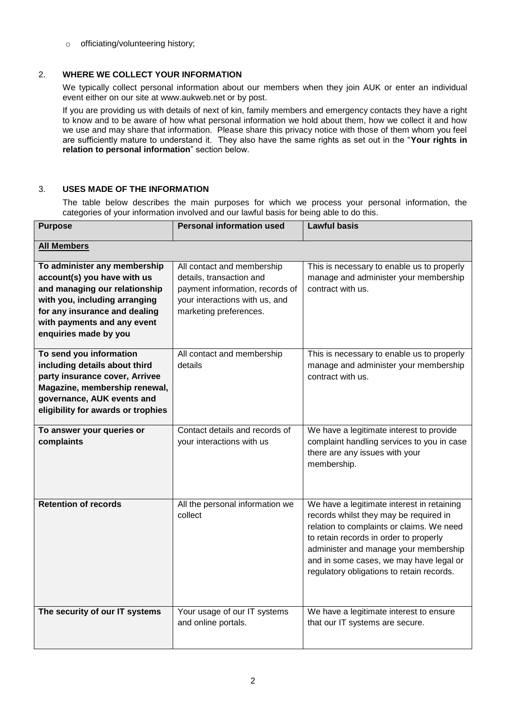o officiating/volunteering history;

## 2. **WHERE WE COLLECT YOUR INFORMATION**

We typically collect personal information about our members when they join AUK or enter an individual event either on our site at www.aukweb.net or by post.

If you are providing us with details of next of kin, family members and emergency contacts they have a right to know and to be aware of how what personal information we hold about them, how we collect it and how we use and may share that information. Please share this privacy notice with those of them whom you feel are sufficiently mature to understand it. They also have the same rights as set out in the "**Your rights in relation to personal information**" section below.

## 3. **USES MADE OF THE INFORMATION**

The table below describes the main purposes for which we process your personal information, the categories of your information involved and our lawful basis for being able to do this.

| <b>Purpose</b>                                                                                                                                                                                                         | <b>Personal information used</b>                                                                                                                      | <b>Lawful basis</b>                                                                                                                                                                                                                                                                                          |
|------------------------------------------------------------------------------------------------------------------------------------------------------------------------------------------------------------------------|-------------------------------------------------------------------------------------------------------------------------------------------------------|--------------------------------------------------------------------------------------------------------------------------------------------------------------------------------------------------------------------------------------------------------------------------------------------------------------|
| <b>All Members</b>                                                                                                                                                                                                     |                                                                                                                                                       |                                                                                                                                                                                                                                                                                                              |
| To administer any membership<br>account(s) you have with us<br>and managing our relationship<br>with you, including arranging<br>for any insurance and dealing<br>with payments and any event<br>enquiries made by you | All contact and membership<br>details, transaction and<br>payment information, records of<br>your interactions with us, and<br>marketing preferences. | This is necessary to enable us to properly<br>manage and administer your membership<br>contract with us.                                                                                                                                                                                                     |
| To send you information<br>including details about third<br>party insurance cover, Arrivee<br>Magazine, membership renewal,<br>governance, AUK events and<br>eligibility for awards or trophies                        | All contact and membership<br>details                                                                                                                 | This is necessary to enable us to properly<br>manage and administer your membership<br>contract with us.                                                                                                                                                                                                     |
| To answer your queries or<br>complaints                                                                                                                                                                                | Contact details and records of<br>your interactions with us                                                                                           | We have a legitimate interest to provide<br>complaint handling services to you in case<br>there are any issues with your<br>membership.                                                                                                                                                                      |
| <b>Retention of records</b>                                                                                                                                                                                            | All the personal information we<br>collect                                                                                                            | We have a legitimate interest in retaining<br>records whilst they may be required in<br>relation to complaints or claims. We need<br>to retain records in order to properly<br>administer and manage your membership<br>and in some cases, we may have legal or<br>regulatory obligations to retain records. |
| The security of our IT systems                                                                                                                                                                                         | Your usage of our IT systems<br>and online portals.                                                                                                   | We have a legitimate interest to ensure<br>that our IT systems are secure.                                                                                                                                                                                                                                   |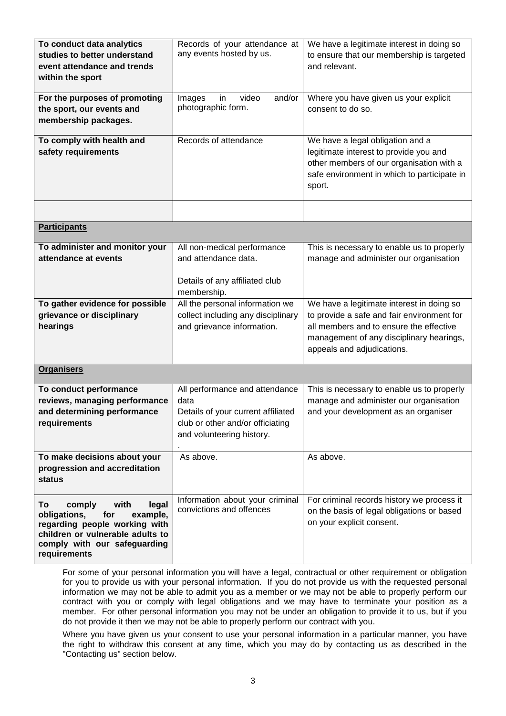| To conduct data analytics<br>studies to better understand<br>event attendance and trends<br>within the sport<br>For the purposes of promoting<br>the sport, our events and<br>membership packages.<br>To comply with health and<br>safety requirements | Records of your attendance at<br>any events hosted by us.<br>video<br>Images<br>in<br>and/or<br>photographic form.<br>Records of attendance   | We have a legitimate interest in doing so<br>to ensure that our membership is targeted<br>and relevant.<br>Where you have given us your explicit<br>consent to do so.<br>We have a legal obligation and a<br>legitimate interest to provide you and<br>other members of our organisation with a<br>safe environment in which to participate in<br>sport. |  |
|--------------------------------------------------------------------------------------------------------------------------------------------------------------------------------------------------------------------------------------------------------|-----------------------------------------------------------------------------------------------------------------------------------------------|----------------------------------------------------------------------------------------------------------------------------------------------------------------------------------------------------------------------------------------------------------------------------------------------------------------------------------------------------------|--|
|                                                                                                                                                                                                                                                        |                                                                                                                                               |                                                                                                                                                                                                                                                                                                                                                          |  |
| <b>Participants</b>                                                                                                                                                                                                                                    |                                                                                                                                               |                                                                                                                                                                                                                                                                                                                                                          |  |
| To administer and monitor your<br>attendance at events                                                                                                                                                                                                 | All non-medical performance<br>and attendance data.<br>Details of any affiliated club<br>membership.                                          | This is necessary to enable us to properly<br>manage and administer our organisation                                                                                                                                                                                                                                                                     |  |
| To gather evidence for possible<br>grievance or disciplinary<br>hearings                                                                                                                                                                               | All the personal information we<br>collect including any disciplinary<br>and grievance information.                                           | We have a legitimate interest in doing so<br>to provide a safe and fair environment for<br>all members and to ensure the effective<br>management of any disciplinary hearings,<br>appeals and adjudications.                                                                                                                                             |  |
| <b>Organisers</b>                                                                                                                                                                                                                                      |                                                                                                                                               |                                                                                                                                                                                                                                                                                                                                                          |  |
| To conduct performance<br>reviews, managing performance<br>and determining performance<br>requirements                                                                                                                                                 | All performance and attendance<br>data<br>Details of your current affiliated<br>club or other and/or officiating<br>and volunteering history. | This is necessary to enable us to properly<br>manage and administer our organisation<br>and your development as an organiser                                                                                                                                                                                                                             |  |
| To make decisions about your<br>progression and accreditation<br>status                                                                                                                                                                                | As above.                                                                                                                                     | As above.                                                                                                                                                                                                                                                                                                                                                |  |
| comply<br>with<br>To<br>legal<br>obligations,<br>for<br>example,<br>regarding people working with<br>children or vulnerable adults to<br>comply with our safeguarding<br>requirements                                                                  | Information about your criminal<br>convictions and offences                                                                                   | For criminal records history we process it<br>on the basis of legal obligations or based<br>on your explicit consent.                                                                                                                                                                                                                                    |  |

For some of your personal information you will have a legal, contractual or other requirement or obligation for you to provide us with your personal information. If you do not provide us with the requested personal information we may not be able to admit you as a member or we may not be able to properly perform our contract with you or comply with legal obligations and we may have to terminate your position as a member. For other personal information you may not be under an obligation to provide it to us, but if you do not provide it then we may not be able to properly perform our contract with you.

Where you have given us your consent to use your personal information in a particular manner, you have the right to withdraw this consent at any time, which you may do by contacting us as described in the "Contacting us" section below.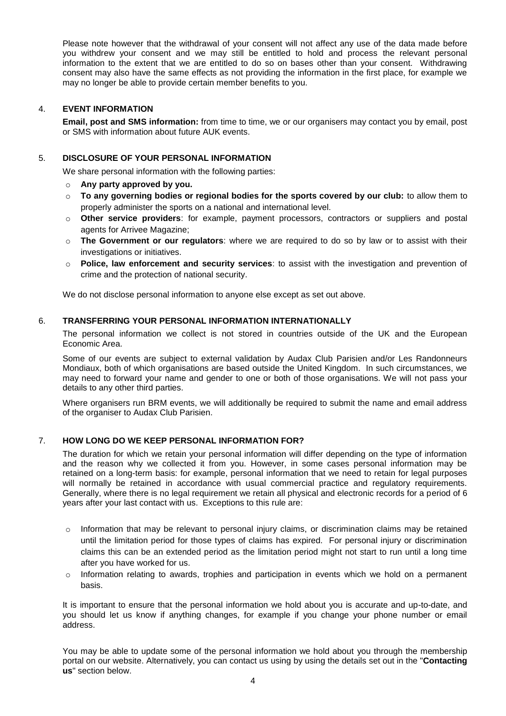Please note however that the withdrawal of your consent will not affect any use of the data made before you withdrew your consent and we may still be entitled to hold and process the relevant personal information to the extent that we are entitled to do so on bases other than your consent. Withdrawing consent may also have the same effects as not providing the information in the first place, for example we may no longer be able to provide certain member benefits to you.

### 4. **EVENT INFORMATION**

**Email, post and SMS information:** from time to time, we or our organisers may contact you by email, post or SMS with information about future AUK events.

## 5. **DISCLOSURE OF YOUR PERSONAL INFORMATION**

We share personal information with the following parties:

- o **Any party approved by you.**
- o **To any governing bodies or regional bodies for the sports covered by our club:** to allow them to properly administer the sports on a national and international level.
- o **Other service providers**: for example, payment processors, contractors or suppliers and postal agents for Arrivee Magazine;
- o **The Government or our regulators**: where we are required to do so by law or to assist with their investigations or initiatives.
- o **Police, law enforcement and security services**: to assist with the investigation and prevention of crime and the protection of national security.

We do not disclose personal information to anyone else except as set out above.

### 6. **TRANSFERRING YOUR PERSONAL INFORMATION INTERNATIONALLY**

The personal information we collect is not stored in countries outside of the UK and the European Economic Area.

Some of our events are subject to external validation by Audax Club Parisien and/or Les Randonneurs Mondiaux, both of which organisations are based outside the United Kingdom. In such circumstances, we may need to forward your name and gender to one or both of those organisations. We will not pass your details to any other third parties.

Where organisers run BRM events, we will additionally be required to submit the name and email address of the organiser to Audax Club Parisien.

### 7. **HOW LONG DO WE KEEP PERSONAL INFORMATION FOR?**

The duration for which we retain your personal information will differ depending on the type of information and the reason why we collected it from you. However, in some cases personal information may be retained on a long-term basis: for example, personal information that we need to retain for legal purposes will normally be retained in accordance with usual commercial practice and regulatory requirements. Generally, where there is no legal requirement we retain all physical and electronic records for a period of 6 years after your last contact with us. Exceptions to this rule are:

- $\circ$  Information that may be relevant to personal injury claims, or discrimination claims may be retained until the limitation period for those types of claims has expired. For personal injury or discrimination claims this can be an extended period as the limitation period might not start to run until a long time after you have worked for us.
- $\circ$  Information relating to awards, trophies and participation in events which we hold on a permanent basis.

It is important to ensure that the personal information we hold about you is accurate and up-to-date, and you should let us know if anything changes, for example if you change your phone number or email address.

You may be able to update some of the personal information we hold about you through the membership portal on our website. Alternatively, you can contact us using by using the details set out in the "**Contacting us**" section below.